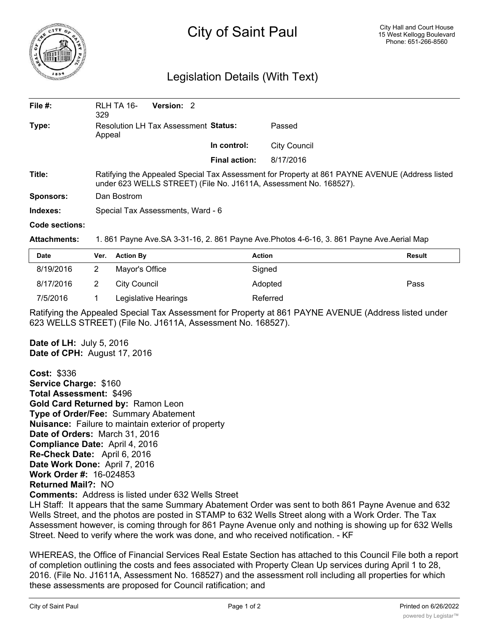

## City of Saint Paul

## Legislation Details (With Text)

| File $#$ :       | RLH TA 16-<br>329                                                                                                                                                   | <b>Version: 2</b> |                      |                     |  |  |
|------------------|---------------------------------------------------------------------------------------------------------------------------------------------------------------------|-------------------|----------------------|---------------------|--|--|
| Type:            | <b>Resolution LH Tax Assessment Status:</b><br>Appeal                                                                                                               |                   |                      | Passed              |  |  |
|                  |                                                                                                                                                                     |                   | In control:          | <b>City Council</b> |  |  |
|                  |                                                                                                                                                                     |                   | <b>Final action:</b> | 8/17/2016           |  |  |
| Title:           | Ratifying the Appealed Special Tax Assessment for Property at 861 PAYNE AVENUE (Address listed<br>under 623 WELLS STREET) (File No. J1611A, Assessment No. 168527). |                   |                      |                     |  |  |
| <b>Sponsors:</b> | Dan Bostrom                                                                                                                                                         |                   |                      |                     |  |  |
| Indexes:         | Special Tax Assessments, Ward - 6                                                                                                                                   |                   |                      |                     |  |  |
| Code sections:   |                                                                                                                                                                     |                   |                      |                     |  |  |

**Attachments:** 1. 861 Payne Ave.SA 3-31-16, 2. 861 Payne Ave.Photos 4-6-16, 3. 861 Payne Ave.Aerial Map

| <b>Date</b> | Ver. | <b>Action By</b>     | <b>Action</b> | Result |
|-------------|------|----------------------|---------------|--------|
| 8/19/2016   |      | Mayor's Office       | Signed        |        |
| 8/17/2016   |      | City Council         | Adopted       | Pass   |
| 7/5/2016    |      | Legislative Hearings | Referred      |        |

Ratifying the Appealed Special Tax Assessment for Property at 861 PAYNE AVENUE (Address listed under 623 WELLS STREET) (File No. J1611A, Assessment No. 168527).

**Date of LH:** July 5, 2016 **Date of CPH:** August 17, 2016

**Cost:** \$336 **Service Charge:** \$160 **Total Assessment:** \$496 **Gold Card Returned by:** Ramon Leon **Type of Order/Fee:** Summary Abatement **Nuisance:** Failure to maintain exterior of property **Date of Orders:** March 31, 2016 **Compliance Date:** April 4, 2016 **Re-Check Date:** April 6, 2016 **Date Work Done:** April 7, 2016 **Work Order #:** 16-024853 **Returned Mail?:** NO **Comments:** Address is listed under 632 Wells Street

LH Staff: It appears that the same Summary Abatement Order was sent to both 861 Payne Avenue and 632 Wells Street, and the photos are posted in STAMP to 632 Wells Street along with a Work Order. The Tax Assessment however, is coming through for 861 Payne Avenue only and nothing is showing up for 632 Wells Street. Need to verify where the work was done, and who received notification. - KF

WHEREAS, the Office of Financial Services Real Estate Section has attached to this Council File both a report of completion outlining the costs and fees associated with Property Clean Up services during April 1 to 28, 2016. (File No. J1611A, Assessment No. 168527) and the assessment roll including all properties for which these assessments are proposed for Council ratification; and